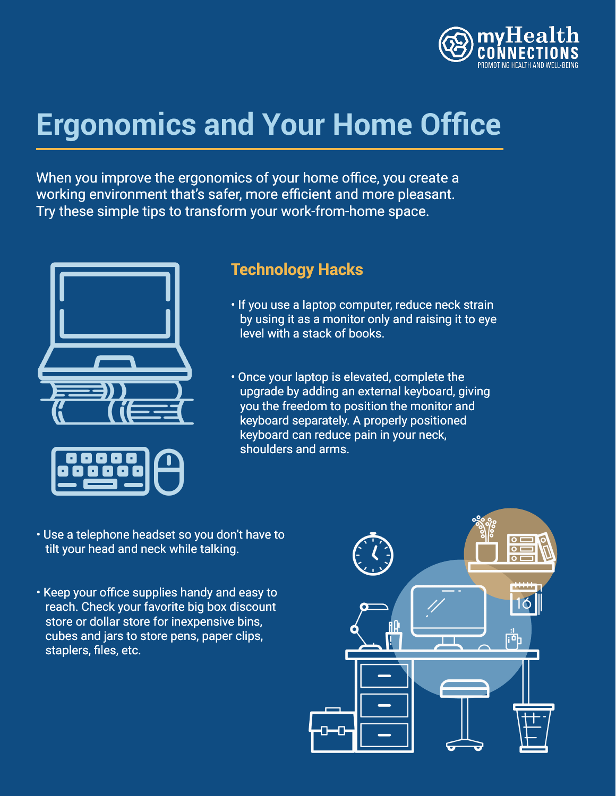

# **Ergonomics and Your Home Office**

When you improve the ergonomics of your home office, you create a working environment that's safer, more efficient and more pleasant. Try these simple tips to transform your work-from-home space.



### **Technology Hacks**

- If you use a laptop computer, reduce neck strain by using it as a monitor only and raising it to eye level with a stack of books.
- Once your laptop is elevated, complete the upgrade by adding an external keyboard, giving you the freedom to position the monitor and keyboard separately. A properly positioned keyboard can reduce pain in your neck, shoulders and arms.
- Use a telephone headset so you don't have to tilt your head and neck while talking.
- Keep your office supplies handy and easy to reach. Check your favorite big box discount store or dollar store for inexpensive bins, cubes and jars to store pens, paper clips, staplers, files, etc.